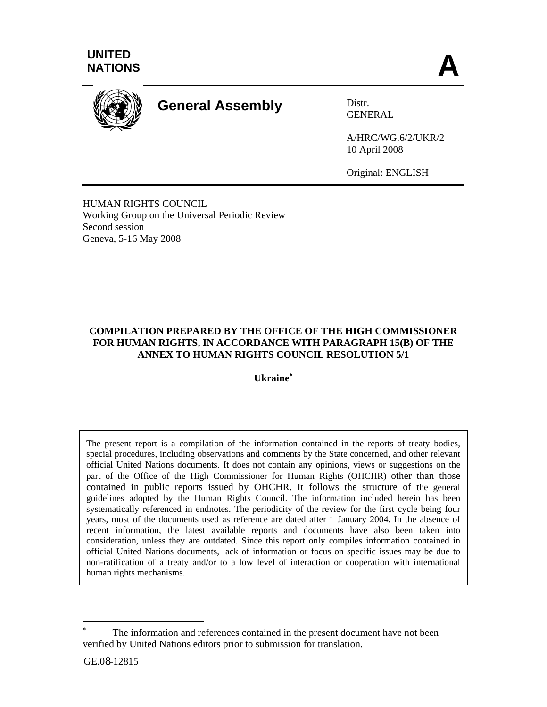

# **General Assembly** Distr.

GENERAL

A/HRC/WG.6/2/UKR/2 10 April 2008

Original: ENGLISH

HUMAN RIGHTS COUNCIL Working Group on the Universal Periodic Review Second session Geneva, 5-16 May 2008

# **COMPILATION PREPARED BY THE OFFICE OF THE HIGH COMMISSIONER FOR HUMAN RIGHTS, IN ACCORDANCE WITH PARAGRAPH 15(B) OF THE ANNEX TO HUMAN RIGHTS COUNCIL RESOLUTION 5/1**

**Ukraine**<sup>∗</sup>

The present report is a compilation of the information contained in the reports of treaty bodies, special procedures, including observations and comments by the State concerned, and other relevant official United Nations documents. It does not contain any opinions, views or suggestions on the part of the Office of the High Commissioner for Human Rights (OHCHR) other than those contained in public reports issued by OHCHR. It follows the structure of the general guidelines adopted by the Human Rights Council. The information included herein has been systematically referenced in endnotes. The periodicity of the review for the first cycle being four years, most of the documents used as reference are dated after 1 January 2004. In the absence of recent information, the latest available reports and documents have also been taken into consideration, unless they are outdated. Since this report only compiles information contained in official United Nations documents, lack of information or focus on specific issues may be due to non-ratification of a treaty and/or to a low level of interaction or cooperation with international human rights mechanisms.

l

<sup>∗</sup> The information and references contained in the present document have not been verified by United Nations editors prior to submission for translation.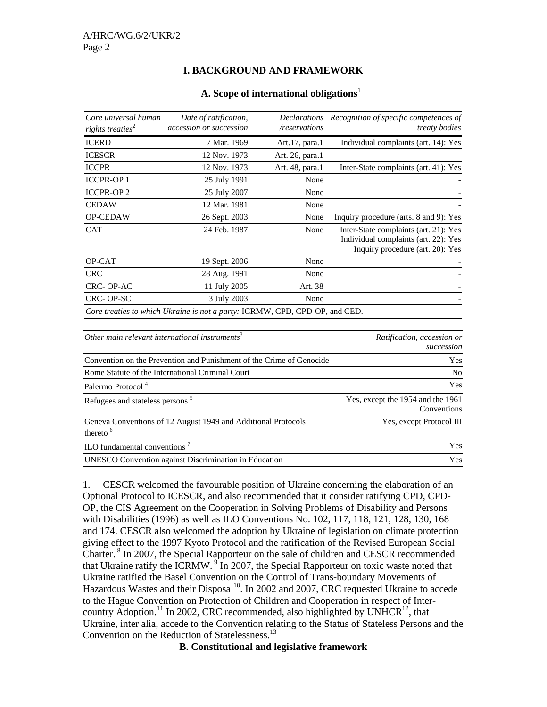#### **I. BACKGROUND AND FRAMEWORK**

| Core universal human<br>rights treaties <sup>2</sup> | Date of ratification,<br>accession or succession                            | <i>Declarations</i><br>/reservations | Recognition of specific competences of<br><i>treaty bodies</i>                                                    |
|------------------------------------------------------|-----------------------------------------------------------------------------|--------------------------------------|-------------------------------------------------------------------------------------------------------------------|
| <b>ICERD</b>                                         | 7 Mar. 1969                                                                 | Art.17, para.1                       | Individual complaints (art. 14): Yes                                                                              |
| <b>ICESCR</b>                                        | 12 Nov. 1973                                                                | Art. 26, para.1                      |                                                                                                                   |
| <b>ICCPR</b>                                         | 12 Nov. 1973                                                                | Art. 48, para.1                      | Inter-State complaints (art. 41): Yes                                                                             |
| <b>ICCPR-OP1</b>                                     | 25 July 1991                                                                | None                                 |                                                                                                                   |
| <b>ICCPR-OP2</b>                                     | 25 July 2007                                                                | None                                 |                                                                                                                   |
| <b>CEDAW</b>                                         | 12 Mar. 1981                                                                | None                                 |                                                                                                                   |
| <b>OP-CEDAW</b>                                      | 26 Sept. 2003                                                               | None                                 | Inquiry procedure (arts. 8 and 9): Yes                                                                            |
| <b>CAT</b>                                           | 24 Feb. 1987                                                                | None                                 | Inter-State complaints (art. 21): Yes<br>Individual complaints (art. 22): Yes<br>Inquiry procedure (art. 20): Yes |
| OP-CAT                                               | 19 Sept. 2006                                                               | None                                 |                                                                                                                   |
| <b>CRC</b>                                           | 28 Aug. 1991                                                                | None                                 |                                                                                                                   |
| CRC-OP-AC                                            | 11 July 2005                                                                | Art. 38                              |                                                                                                                   |
| CRC-OP-SC                                            | 3 July 2003                                                                 | None                                 |                                                                                                                   |
|                                                      | Core treaties to which Ukraine is not a party: ICRMW, CPD, CPD-OP, and CED. |                                      |                                                                                                                   |

#### **A. Scope of international obligations**<sup>1</sup>

| Other main relevant international instruments <sup>3</sup>                            | Ratification, accession or<br>succession         |
|---------------------------------------------------------------------------------------|--------------------------------------------------|
| Convention on the Prevention and Punishment of the Crime of Genocide                  | <b>Yes</b>                                       |
| Rome Statute of the International Criminal Court                                      | N <sub>o</sub>                                   |
| Palermo Protocol <sup>4</sup>                                                         | <b>Yes</b>                                       |
| Refugees and stateless persons <sup>5</sup>                                           | Yes, except the 1954 and the 1961<br>Conventions |
| Geneva Conventions of 12 August 1949 and Additional Protocols<br>thereto <sup>6</sup> | Yes, except Protocol III                         |
| ILO fundamental conventions <sup>7</sup>                                              | <b>Yes</b>                                       |
| UNESCO Convention against Discrimination in Education                                 | <b>Yes</b>                                       |

1. CESCR welcomed the favourable position of Ukraine concerning the elaboration of an Optional Protocol to ICESCR, and also recommended that it consider ratifying CPD, CPD-OP, the CIS Agreement on the Cooperation in Solving Problems of Disability and Persons with Disabilities (1996) as well as ILO Conventions No. 102, 117, 118, 121, 128, 130, 168 and 174. CESCR also welcomed the adoption by Ukraine of legislation on climate protection giving effect to the 1997 Kyoto Protocol and the ratification of the Revised European Social Charter. 8 In 2007, the Special Rapporteur on the sale of children and CESCR recommended that Ukraine ratify the ICRMW.  $\overline{9}$  In 2007, the Special Rapporteur on toxic waste noted that Ukraine ratified the Basel Convention on the Control of Trans-boundary Movements of Hazardous Wastes and their Disposal<sup>10</sup>. In 2002 and 2007, CRC requested Ukraine to accede to the Hague Convention on Protection of Children and Cooperation in respect of Intercountry Adoption.<sup>11</sup> In 2002, CRC recommended, also highlighted by UNHCR<sup>12</sup>, that Ukraine, inter alia, accede to the Convention relating to the Status of Stateless Persons and the Convention on the Reduction of Statelessness.<sup>13</sup>

**B. Constitutional and legislative framework**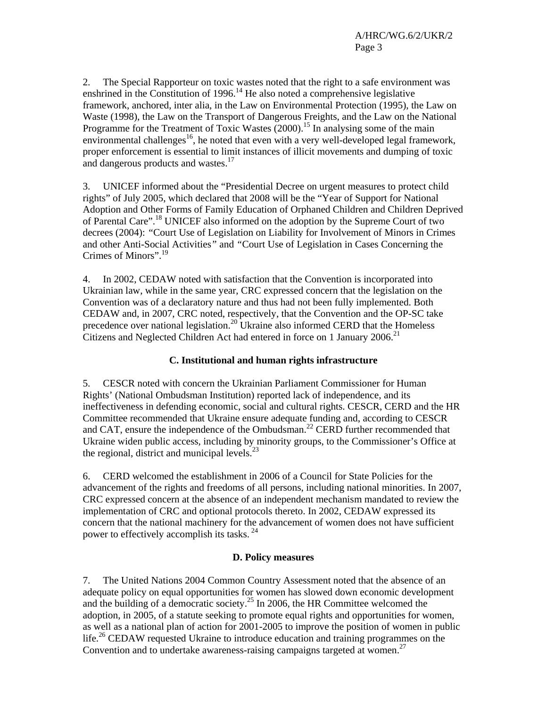2. The Special Rapporteur on toxic wastes noted that the right to a safe environment was enshrined in the Constitution of  $1996<sup>14</sup>$  He also noted a comprehensive legislative framework, anchored, inter alia, in the Law on Environmental Protection (1995), the Law on Waste (1998), the Law on the Transport of Dangerous Freights, and the Law on the National Programme for the Treatment of Toxic Wastes  $(2000)$ .<sup>15</sup> In analysing some of the main environmental challenges<sup>16</sup>, he noted that even with a very well-developed legal framework, proper enforcement is essential to limit instances of illicit movements and dumping of toxic and dangerous products and wastes.<sup>17</sup>

3. UNICEF informed about the "Presidential Decree on urgent measures to protect child rights" of July 2005, which declared that 2008 will be the "Year of Support for National Adoption and Other Forms of Family Education of Orphaned Children and Children Deprived of Parental Care".18 UNICEF also informed on the adoption by the Supreme Court of two decrees (2004): *"*Court Use of Legislation on Liability for Involvement of Minors in Crimes and other Anti-Social Activities*"* and *"*Court Use of Legislation in Cases Concerning the Crimes of Minors".<sup>19</sup>

4. In 2002, CEDAW noted with satisfaction that the Convention is incorporated into Ukrainian law, while in the same year, CRC expressed concern that the legislation on the Convention was of a declaratory nature and thus had not been fully implemented. Both CEDAW and, in 2007, CRC noted, respectively, that the Convention and the OP-SC take precedence over national legislation.<sup>20</sup> Ukraine also informed CERD that the Homeless Citizens and Neglected Children Act had entered in force on 1 January 2006.<sup>21</sup>

# **C. Institutional and human rights infrastructure**

5. CESCR noted with concern the Ukrainian Parliament Commissioner for Human Rights' (National Ombudsman Institution) reported lack of independence, and its ineffectiveness in defending economic, social and cultural rights. CESCR, CERD and the HR Committee recommended that Ukraine ensure adequate funding and, according to CESCR and CAT, ensure the independence of the Ombudsman.<sup>22</sup> CERD further recommended that Ukraine widen public access, including by minority groups, to the Commissioner's Office at the regional, district and municipal levels. $^{23}$ 

6. CERD welcomed the establishment in 2006 of a Council for State Policies for the advancement of the rights and freedoms of all persons, including national minorities. In 2007, CRC expressed concern at the absence of an independent mechanism mandated to review the implementation of CRC and optional protocols thereto. In 2002, CEDAW expressed its concern that the national machinery for the advancement of women does not have sufficient power to effectively accomplish its tasks. 24

# **D. Policy measures**

7. The United Nations 2004 Common Country Assessment noted that the absence of an adequate policy on equal opportunities for women has slowed down economic development and the building of a democratic society.<sup>25</sup> In 2006, the HR Committee welcomed the adoption, in 2005, of a statute seeking to promote equal rights and opportunities for women, as well as a national plan of action for 2001-2005 to improve the position of women in public life.<sup>26</sup> CEDAW requested Ukraine to introduce education and training programmes on the Convention and to undertake awareness-raising campaigns targeted at women.<sup>27</sup>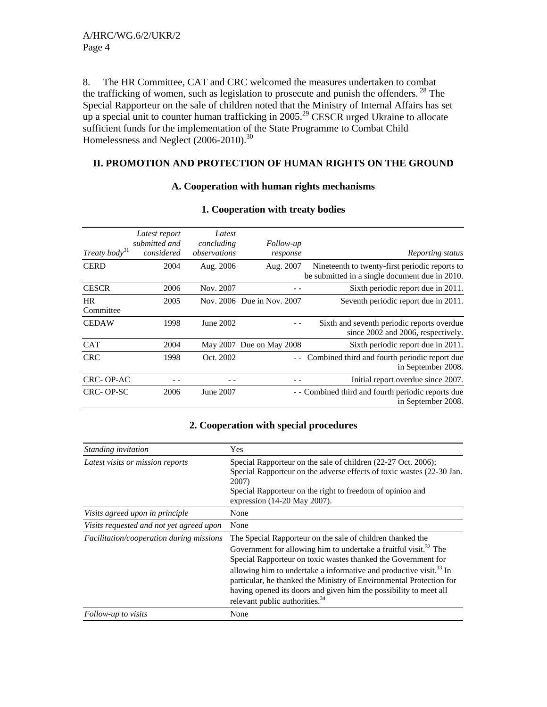8. The HR Committee, CAT and CRC welcomed the measures undertaken to combat the trafficking of women, such as legislation to prosecute and punish the offenders.  $^{28}$  The Special Rapporteur on the sale of children noted that the Ministry of Internal Affairs has set up a special unit to counter human trafficking in  $2005.<sup>29</sup>$  CESCR urged Ukraine to allocate sufficient funds for the implementation of the State Programme to Combat Child Homelessness and Neglect (2006-2010).<sup>30</sup>

# **II. PROMOTION AND PROTECTION OF HUMAN RIGHTS ON THE GROUND**

#### **A. Cooperation with human rights mechanisms**

| Treaty body <sup>31</sup> | Latest report<br>submitted and<br>considered | Latest<br>concluding<br>observations | Follow-up<br>response      | Reporting status                                                                                 |
|---------------------------|----------------------------------------------|--------------------------------------|----------------------------|--------------------------------------------------------------------------------------------------|
| <b>CERD</b>               | 2004                                         | Aug. 2006                            | Aug. 2007                  | Nineteenth to twenty-first periodic reports to<br>be submitted in a single document due in 2010. |
| <b>CESCR</b>              | 2006                                         | Nov. 2007                            |                            | Sixth periodic report due in 2011.                                                               |
| <b>HR</b><br>Committee    | 2005                                         |                                      | Nov. 2006 Due in Nov. 2007 | Seventh periodic report due in 2011.                                                             |
| <b>CEDAW</b>              | 1998                                         | June 2002                            |                            | Sixth and seventh periodic reports overdue<br>since 2002 and 2006, respectively.                 |
| <b>CAT</b>                | 2004                                         |                                      | May 2007 Due on May 2008   | Sixth periodic report due in 2011.                                                               |
| <b>CRC</b>                | 1998                                         | Oct. 2002                            |                            | Combined third and fourth periodic report due<br>in September 2008.                              |
| CRC-OP-AC                 |                                              |                                      |                            | Initial report overdue since 2007.                                                               |
| CRC-OP-SC                 | 2006                                         | June 2007                            |                            | - - Combined third and fourth periodic reports due<br>in September 2008.                         |

#### **1. Cooperation with treaty bodies**

# **2. Cooperation with special procedures**

| Standing invitation                      | Yes                                                                                                                                                                                                                                                                                                                                                                                                                                                                                     |
|------------------------------------------|-----------------------------------------------------------------------------------------------------------------------------------------------------------------------------------------------------------------------------------------------------------------------------------------------------------------------------------------------------------------------------------------------------------------------------------------------------------------------------------------|
| Latest visits or mission reports         | Special Rapporteur on the sale of children (22-27 Oct. 2006);<br>Special Rapporteur on the adverse effects of toxic wastes (22-30 Jan.<br>2007)<br>Special Rapporteur on the right to freedom of opinion and<br>expression (14-20 May 2007).                                                                                                                                                                                                                                            |
| Visits agreed upon in principle          | None                                                                                                                                                                                                                                                                                                                                                                                                                                                                                    |
| Visits requested and not yet agreed upon | None                                                                                                                                                                                                                                                                                                                                                                                                                                                                                    |
| Facilitation/cooperation during missions | The Special Rapporteur on the sale of children thanked the<br>Government for allowing him to undertake a fruitful visit. <sup>32</sup> The<br>Special Rapporteur on toxic wastes thanked the Government for<br>allowing him to undertake a informative and productive visit. <sup>33</sup> In<br>particular, he thanked the Ministry of Environmental Protection for<br>having opened its doors and given him the possibility to meet all<br>relevant public authorities. <sup>34</sup> |
| Follow-up to visits                      | None                                                                                                                                                                                                                                                                                                                                                                                                                                                                                    |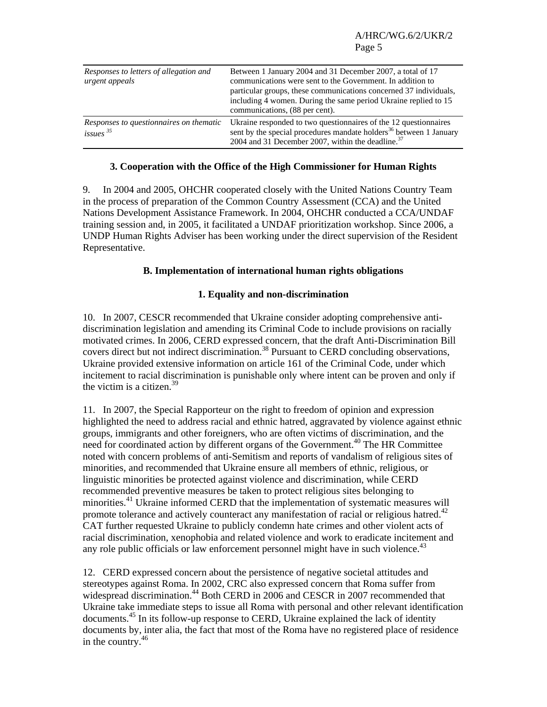| Responses to letters of allegation and<br>urgent appeals          | Between 1 January 2004 and 31 December 2007, a total of 17<br>communications were sent to the Government. In addition to<br>particular groups, these communications concerned 37 individuals,<br>including 4 women. During the same period Ukraine replied to 15<br>communications, (88 per cent). |
|-------------------------------------------------------------------|----------------------------------------------------------------------------------------------------------------------------------------------------------------------------------------------------------------------------------------------------------------------------------------------------|
| Responses to questionnaires on thematic<br>$issues$ <sup>35</sup> | Ukraine responded to two questionnaires of the 12 questionnaires<br>sent by the special procedures mandate holders <sup>36</sup> between 1 January<br>2004 and 31 December 2007, within the deadline. <sup>37</sup>                                                                                |

# **3. Cooperation with the Office of the High Commissioner for Human Rights**

9. In 2004 and 2005, OHCHR cooperated closely with the United Nations Country Team in the process of preparation of the Common Country Assessment (CCA) and the United Nations Development Assistance Framework. In 2004, OHCHR conducted a CCA/UNDAF training session and, in 2005, it facilitated a UNDAF prioritization workshop. Since 2006, a UNDP Human Rights Adviser has been working under the direct supervision of the Resident Representative.

#### **B. Implementation of international human rights obligations**

#### **1. Equality and non-discrimination**

10. In 2007, CESCR recommended that Ukraine consider adopting comprehensive antidiscrimination legislation and amending its Criminal Code to include provisions on racially motivated crimes. In 2006, CERD expressed concern, that the draft Anti-Discrimination Bill covers direct but not indirect discrimination.<sup>38</sup> Pursuant to CERD concluding observations, Ukraine provided extensive information on article 161 of the Criminal Code, under which incitement to racial discrimination is punishable only where intent can be proven and only if the victim is a citizen. $39$ 

11. In 2007, the Special Rapporteur on the right to freedom of opinion and expression highlighted the need to address racial and ethnic hatred, aggravated by violence against ethnic groups, immigrants and other foreigners, who are often victims of discrimination, and the need for coordinated action by different organs of the Government.<sup>40</sup> The HR Committee noted with concern problems of anti-Semitism and reports of vandalism of religious sites of minorities, and recommended that Ukraine ensure all members of ethnic, religious, or linguistic minorities be protected against violence and discrimination, while CERD recommended preventive measures be taken to protect religious sites belonging to minorities.41 Ukraine informed CERD that the implementation of systematic measures will promote tolerance and actively counteract any manifestation of racial or religious hatred.<sup>42</sup> CAT further requested Ukraine to publicly condemn hate crimes and other violent acts of racial discrimination, xenophobia and related violence and work to eradicate incitement and any role public officials or law enforcement personnel might have in such violence.<sup>43</sup>

12. CERD expressed concern about the persistence of negative societal attitudes and stereotypes against Roma. In 2002, CRC also expressed concern that Roma suffer from widespread discrimination.<sup>44</sup> Both CERD in 2006 and CESCR in 2007 recommended that Ukraine take immediate steps to issue all Roma with personal and other relevant identification documents.45 In its follow-up response to CERD, Ukraine explained the lack of identity documents by, inter alia, the fact that most of the Roma have no registered place of residence in the country. $46$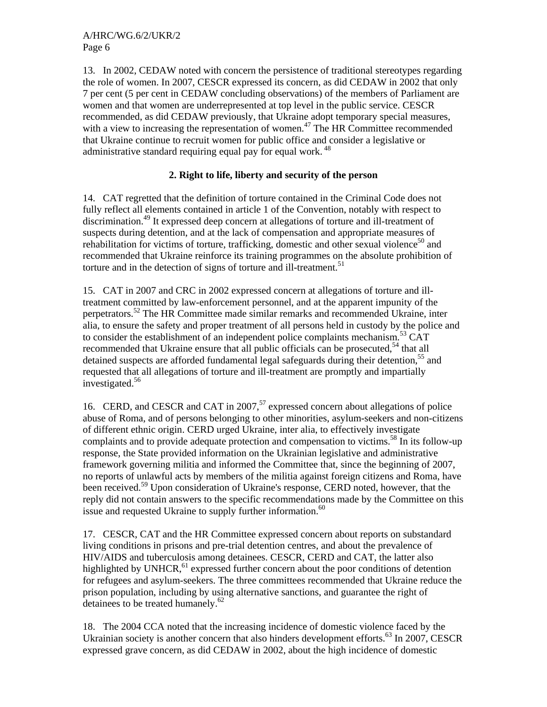13. In 2002, CEDAW noted with concern the persistence of traditional stereotypes regarding the role of women. In 2007, CESCR expressed its concern, as did CEDAW in 2002 that only 7 per cent (5 per cent in CEDAW concluding observations) of the members of Parliament are women and that women are underrepresented at top level in the public service. CESCR recommended, as did CEDAW previously, that Ukraine adopt temporary special measures, with a view to increasing the representation of women.<sup>47</sup> The HR Committee recommended that Ukraine continue to recruit women for public office and consider a legislative or administrative standard requiring equal pay for equal work.<sup>48</sup>

# **2. Right to life, liberty and security of the person**

14. CAT regretted that the definition of torture contained in the Criminal Code does not fully reflect all elements contained in article 1 of the Convention, notably with respect to discrimination.49 It expressed deep concern at allegations of torture and ill-treatment of suspects during detention, and at the lack of compensation and appropriate measures of rehabilitation for victims of torture, trafficking, domestic and other sexual violence<sup>50</sup> and recommended that Ukraine reinforce its training programmes on the absolute prohibition of torture and in the detection of signs of torture and ill-treatment.<sup>51</sup>

15. CAT in 2007 and CRC in 2002 expressed concern at allegations of torture and illtreatment committed by law-enforcement personnel, and at the apparent impunity of the perpetrators.52 The HR Committee made similar remarks and recommended Ukraine, inter alia, to ensure the safety and proper treatment of all persons held in custody by the police and to consider the establishment of an independent police complaints mechanism.<sup>53</sup> CAT recommended that Ukraine ensure that all public officials can be prosecuted,<sup>54</sup> that all detained suspects are afforded fundamental legal safeguards during their detention,<sup>55</sup> and requested that all allegations of torture and ill-treatment are promptly and impartially investigated.<sup>56</sup>

16. CERD, and CESCR and CAT in 2007,<sup>57</sup> expressed concern about allegations of police abuse of Roma, and of persons belonging to other minorities, asylum-seekers and non-citizens of different ethnic origin. CERD urged Ukraine, inter alia, to effectively investigate complaints and to provide adequate protection and compensation to victims.<sup>58</sup> In its follow-up response, the State provided information on the Ukrainian legislative and administrative framework governing militia and informed the Committee that, since the beginning of 2007, no reports of unlawful acts by members of the militia against foreign citizens and Roma, have been received.<sup>59</sup> Upon consideration of Ukraine's response, CERD noted, however, that the reply did not contain answers to the specific recommendations made by the Committee on this issue and requested Ukraine to supply further information.<sup>60</sup>

17. CESCR, CAT and the HR Committee expressed concern about reports on substandard living conditions in prisons and pre-trial detention centres, and about the prevalence of HIV/AIDS and tuberculosis among detainees. CESCR, CERD and CAT, the latter also highlighted by UNHCR,<sup>61</sup> expressed further concern about the poor conditions of detention for refugees and asylum-seekers. The three committees recommended that Ukraine reduce the prison population, including by using alternative sanctions, and guarantee the right of detainees to be treated humanely. $62$ 

18. The 2004 CCA noted that the increasing incidence of domestic violence faced by the Ukrainian society is another concern that also hinders development efforts. $^{63}$  In 2007, CESCR expressed grave concern, as did CEDAW in 2002, about the high incidence of domestic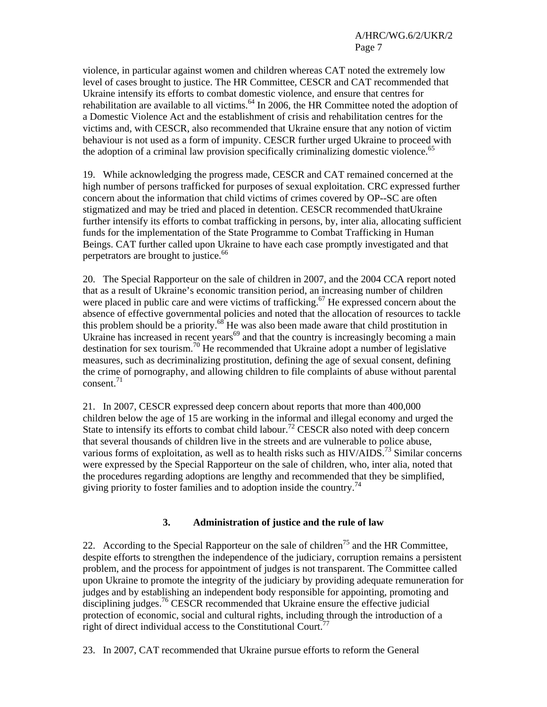violence, in particular against women and children whereas CAT noted the extremely low level of cases brought to justice. The HR Committee, CESCR and CAT recommended that Ukraine intensify its efforts to combat domestic violence, and ensure that centres for rehabilitation are available to all victims.<sup>64</sup> In 2006, the HR Committee noted the adoption of a Domestic Violence Act and the establishment of crisis and rehabilitation centres for the victims and, with CESCR, also recommended that Ukraine ensure that any notion of victim behaviour is not used as a form of impunity. CESCR further urged Ukraine to proceed with the adoption of a criminal law provision specifically criminalizing domestic violence.<sup>65</sup>

19. While acknowledging the progress made, CESCR and CAT remained concerned at the high number of persons trafficked for purposes of sexual exploitation. CRC expressed further concern about the information that child victims of crimes covered by OP--SC are often stigmatized and may be tried and placed in detention. CESCR recommended thatUkraine further intensify its efforts to combat trafficking in persons, by, inter alia, allocating sufficient funds for the implementation of the State Programme to Combat Trafficking in Human Beings. CAT further called upon Ukraine to have each case promptly investigated and that perpetrators are brought to justice.<sup>66</sup>

20. The Special Rapporteur on the sale of children in 2007, and the 2004 CCA report noted that as a result of Ukraine's economic transition period, an increasing number of children were placed in public care and were victims of trafficking.<sup>67</sup> He expressed concern about the absence of effective governmental policies and noted that the allocation of resources to tackle this problem should be a priority. $68^{\circ}$  He was also been made aware that child prostitution in Ukraine has increased in recent years<sup>69</sup> and that the country is increasingly becoming a main destination for sex tourism.<sup>70</sup> He recommended that Ukraine adopt a number of legislative measures, such as decriminalizing prostitution, defining the age of sexual consent, defining the crime of pornography, and allowing children to file complaints of abuse without parental consent.<sup>71</sup>

21. In 2007, CESCR expressed deep concern about reports that more than 400,000 children below the age of 15 are working in the informal and illegal economy and urged the State to intensify its efforts to combat child labour.<sup>72</sup> CESCR also noted with deep concern that several thousands of children live in the streets and are vulnerable to police abuse, various forms of exploitation, as well as to health risks such as  $HIV/ALDS$ <sup>73</sup> Similar concerns were expressed by the Special Rapporteur on the sale of children, who, inter alia, noted that the procedures regarding adoptions are lengthy and recommended that they be simplified, giving priority to foster families and to adoption inside the country.<sup>74</sup>

# **3. Administration of justice and the rule of law**

22. According to the Special Rapporteur on the sale of children<sup>75</sup> and the HR Committee, despite efforts to strengthen the independence of the judiciary, corruption remains a persistent problem, and the process for appointment of judges is not transparent. The Committee called upon Ukraine to promote the integrity of the judiciary by providing adequate remuneration for judges and by establishing an independent body responsible for appointing, promoting and disciplining judges.<sup>76</sup> CESCR recommended that Ukraine ensure the effective judicial protection of economic, social and cultural rights, including through the introduction of a right of direct individual access to the Constitutional Court.<sup>77</sup>

23. In 2007, CAT recommended that Ukraine pursue efforts to reform the General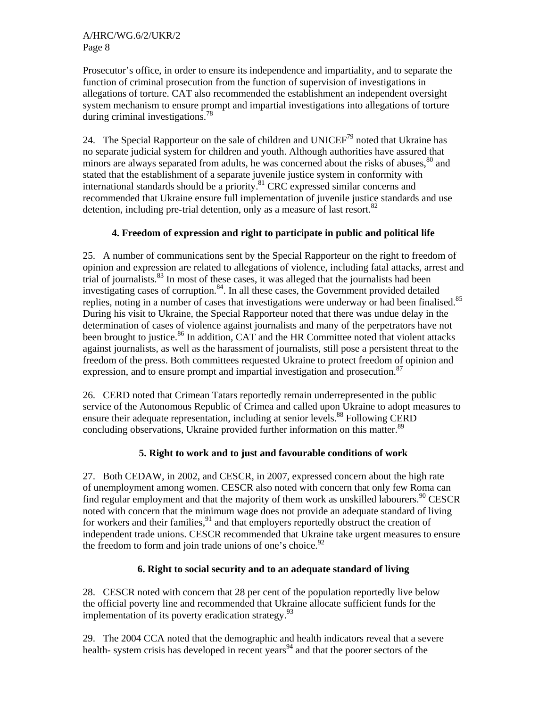Prosecutor's office, in order to ensure its independence and impartiality, and to separate the function of criminal prosecution from the function of supervision of investigations in allegations of torture. CAT also recommended the establishment an independent oversight system mechanism to ensure prompt and impartial investigations into allegations of torture during criminal investigations.<sup>78</sup>

24. The Special Rapporteur on the sale of children and UNICEF<sup>79</sup> noted that Ukraine has no separate judicial system for children and youth. Although authorities have assured that minors are always separated from adults, he was concerned about the risks of abuses, $80^{\circ}$  and stated that the establishment of a separate juvenile justice system in conformity with international standards should be a priority.81 CRC expressed similar concerns and recommended that Ukraine ensure full implementation of juvenile justice standards and use detention, including pre-trial detention, only as a measure of last resort.<sup>82</sup>

# **4. Freedom of expression and right to participate in public and political life**

25. A number of communications sent by the Special Rapporteur on the right to freedom of opinion and expression are related to allegations of violence, including fatal attacks, arrest and trial of journalists.<sup>83</sup> In most of these cases, it was alleged that the journalists had been investigating cases of corruption. $84$ . In all these cases, the Government provided detailed replies, noting in a number of cases that investigations were underway or had been finalised.<sup>85</sup> During his visit to Ukraine, the Special Rapporteur noted that there was undue delay in the determination of cases of violence against journalists and many of the perpetrators have not been brought to justice.<sup>86</sup> In addition, CAT and the HR Committee noted that violent attacks against journalists, as well as the harassment of journalists, still pose a persistent threat to the freedom of the press. Both committees requested Ukraine to protect freedom of opinion and expression, and to ensure prompt and impartial investigation and prosecution.<sup>87</sup>

26. CERD noted that Crimean Tatars reportedly remain underrepresented in the public service of the Autonomous Republic of Crimea and called upon Ukraine to adopt measures to ensure their adequate representation, including at senior levels.<sup>88</sup> Following CERD concluding observations, Ukraine provided further information on this matter.<sup>89</sup>

# **5. Right to work and to just and favourable conditions of work**

27. Both CEDAW, in 2002, and CESCR, in 2007, expressed concern about the high rate of unemployment among women. CESCR also noted with concern that only few Roma can find regular employment and that the majority of them work as unskilled labourers.<sup>90</sup> CESCR noted with concern that the minimum wage does not provide an adequate standard of living for workers and their families,<sup>91</sup> and that employers reportedly obstruct the creation of independent trade unions. CESCR recommended that Ukraine take urgent measures to ensure the freedom to form and join trade unions of one's choice. $92$ 

# **6. Right to social security and to an adequate standard of living**

28. CESCR noted with concern that 28 per cent of the population reportedly live below the official poverty line and recommended that Ukraine allocate sufficient funds for the implementation of its poverty eradication strategy. $93$ 

29. The 2004 CCA noted that the demographic and health indicators reveal that a severe health- system crisis has developed in recent years<sup>94</sup> and that the poorer sectors of the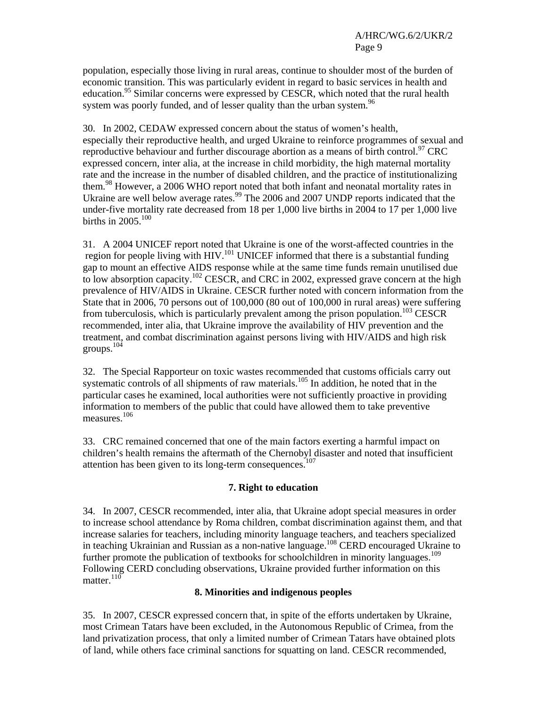population, especially those living in rural areas, continue to shoulder most of the burden of economic transition. This was particularly evident in regard to basic services in health and education.<sup>95</sup> Similar concerns were expressed by CESCR, which noted that the rural health system was poorly funded, and of lesser quality than the urban system.<sup>96</sup>

30. In 2002, CEDAW expressed concern about the status of women's health, especially their reproductive health, and urged Ukraine to reinforce programmes of sexual and reproductive behaviour and further discourage abortion as a means of birth control.<sup>97</sup> CRC expressed concern, inter alia, at the increase in child morbidity, the high maternal mortality rate and the increase in the number of disabled children, and the practice of institutionalizing them.<sup>98</sup> However, a 2006 WHO report noted that both infant and neonatal mortality rates in Ukraine are well below average rates.<sup>99</sup> The 2006 and 2007 UNDP reports indicated that the under-five mortality rate decreased from 18 per 1,000 live births in 2004 to 17 per 1,000 live births in  $2005.<sup>100</sup>$ 

31. A 2004 UNICEF report noted that Ukraine is one of the worst-affected countries in the region for people living with HIV.<sup>101</sup> UNICEF informed that there is a substantial funding gap to mount an effective AIDS response while at the same time funds remain unutilised due to low absorption capacity.<sup>102</sup> CESCR, and CRC in 2002, expressed grave concern at the high prevalence of HIV/AIDS in Ukraine. CESCR further noted with concern information from the State that in 2006, 70 persons out of 100,000 (80 out of 100,000 in rural areas) were suffering from tuberculosis, which is particularly prevalent among the prison population.<sup>103</sup> CESCR recommended, inter alia, that Ukraine improve the availability of HIV prevention and the treatment, and combat discrimination against persons living with HIV/AIDS and high risk groups.104

32. The Special Rapporteur on toxic wastes recommended that customs officials carry out systematic controls of all shipments of raw materials.<sup>105</sup> In addition, he noted that in the particular cases he examined, local authorities were not sufficiently proactive in providing information to members of the public that could have allowed them to take preventive measures.<sup>106</sup>

33. CRC remained concerned that one of the main factors exerting a harmful impact on children's health remains the aftermath of the Chernobyl disaster and noted that insufficient attention has been given to its long-term consequences.<sup>107</sup>

# **7. Right to education**

34. In 2007, CESCR recommended, inter alia, that Ukraine adopt special measures in order to increase school attendance by Roma children, combat discrimination against them, and that increase salaries for teachers, including minority language teachers, and teachers specialized in teaching Ukrainian and Russian as a non-native language.<sup>108</sup> CERD encouraged Ukraine to further promote the publication of textbooks for schoolchildren in minority languages.<sup>109</sup> Following CERD concluding observations, Ukraine provided further information on this matter. $110$ 

# **8. Minorities and indigenous peoples**

35. In 2007, CESCR expressed concern that, in spite of the efforts undertaken by Ukraine, most Crimean Tatars have been excluded, in the Autonomous Republic of Crimea, from the land privatization process, that only a limited number of Crimean Tatars have obtained plots of land, while others face criminal sanctions for squatting on land. CESCR recommended,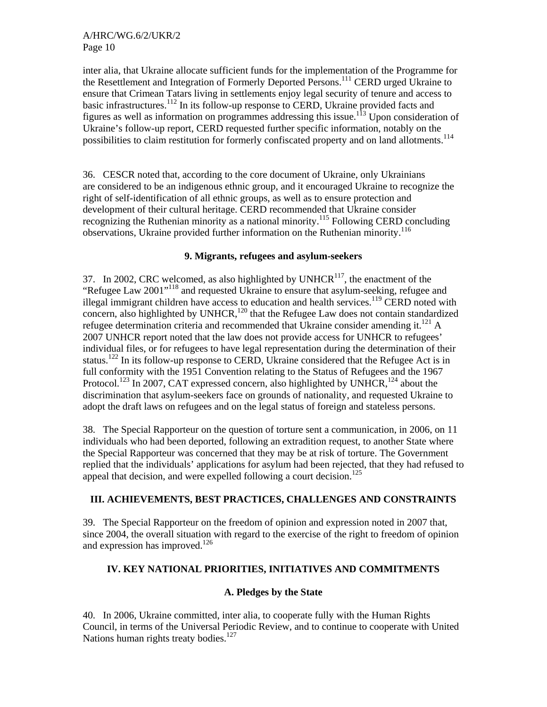inter alia, that Ukraine allocate sufficient funds for the implementation of the Programme for the Resettlement and Integration of Formerly Deported Persons.<sup>111</sup> CERD urged Ukraine to ensure that Crimean Tatars living in settlements enjoy legal security of tenure and access to basic infrastructures.<sup>112</sup> In its follow-up response to CERD, Ukraine provided facts and figures as well as information on programmes addressing this issue.<sup>113</sup> Upon consideration of Ukraine's follow-up report, CERD requested further specific information, notably on the possibilities to claim restitution for formerly confiscated property and on land allotments.<sup>114</sup>

36. CESCR noted that, according to the core document of Ukraine, only Ukrainians are considered to be an indigenous ethnic group, and it encouraged Ukraine to recognize the right of self-identification of all ethnic groups, as well as to ensure protection and development of their cultural heritage. CERD recommended that Ukraine consider recognizing the Ruthenian minority as a national minority.<sup>115</sup> Following CERD concluding observations, Ukraine provided further information on the Ruthenian minority.<sup>116</sup>

#### **9. Migrants, refugees and asylum-seekers**

37. In 2002, CRC welcomed, as also highlighted by UNHCR $<sup>117</sup>$ , the enactment of the</sup> "Refugee Law 2001"118 and requested Ukraine to ensure that asylum-seeking, refugee and illegal immigrant children have access to education and health services.<sup>119</sup> CERD noted with concern, also highlighted by UNHCR, $120$  that the Refugee Law does not contain standardized refugee determination criteria and recommended that Ukraine consider amending it.<sup>121</sup> A 2007 UNHCR report noted that the law does not provide access for UNHCR to refugees' individual files, or for refugees to have legal representation during the determination of their status.<sup>122</sup> In its follow-up response to CERD, Ukraine considered that the Refugee Act is in full conformity with the 1951 Convention relating to the Status of Refugees and the 1967 Protocol.<sup>123</sup> In 2007, CAT expressed concern, also highlighted by UNHCR,<sup>124</sup> about the discrimination that asylum-seekers face on grounds of nationality, and requested Ukraine to adopt the draft laws on refugees and on the legal status of foreign and stateless persons.

38. The Special Rapporteur on the question of torture sent a communication, in 2006, on 11 individuals who had been deported, following an extradition request, to another State where the Special Rapporteur was concerned that they may be at risk of torture. The Government replied that the individuals' applications for asylum had been rejected, that they had refused to appeal that decision, and were expelled following a court decision.<sup>125</sup>

#### **III. ACHIEVEMENTS, BEST PRACTICES, CHALLENGES AND CONSTRAINTS**

39. The Special Rapporteur on the freedom of opinion and expression noted in 2007 that, since 2004, the overall situation with regard to the exercise of the right to freedom of opinion and expression has improved.<sup>126</sup>

# **IV. KEY NATIONAL PRIORITIES, INITIATIVES AND COMMITMENTS**

#### **A. Pledges by the State**

40. In 2006, Ukraine committed, inter alia, to cooperate fully with the Human Rights Council, in terms of the Universal Periodic Review, and to continue to cooperate with United Nations human rights treaty bodies.<sup>127</sup>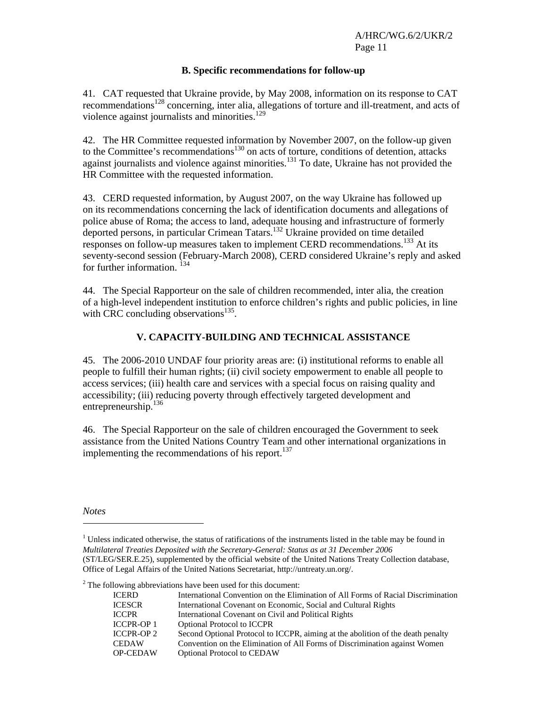#### **B. Specific recommendations for follow-up**

41. CAT requested that Ukraine provide, by May 2008, information on its response to CAT recommendations<sup>128</sup> concerning, inter alia, allegations of torture and ill-treatment, and acts of violence against journalists and minorities.<sup>129</sup>

42. The HR Committee requested information by November 2007, on the follow-up given to the Committee's recommendations<sup>130</sup> on acts of torture, conditions of detention, attacks against journalists and violence against minorities.<sup>131</sup> To date, Ukraine has not provided the HR Committee with the requested information.

43. CERD requested information, by August 2007, on the way Ukraine has followed up on its recommendations concerning the lack of identification documents and allegations of police abuse of Roma; the access to land, adequate housing and infrastructure of formerly deported persons, in particular Crimean Tatars.132 Ukraine provided on time detailed responses on follow-up measures taken to implement CERD recommendations.<sup>133</sup> At its seventy-second session (February-March 2008), CERD considered Ukraine's reply and asked for further information.<sup>134</sup>

44. The Special Rapporteur on the sale of children recommended, inter alia, the creation of a high-level independent institution to enforce children's rights and public policies, in line with CRC concluding observations $^{135}$ .

# **V. CAPACITY-BUILDING AND TECHNICAL ASSISTANCE**

45. The 2006-2010 UNDAF four priority areas are: (i) institutional reforms to enable all people to fulfill their human rights; (ii) civil society empowerment to enable all people to access services; (iii) health care and services with a special focus on raising quality and accessibility; (iii) reducing poverty through effectively targeted development and entrepreneurship.136

46. The Special Rapporteur on the sale of children encouraged the Government to seek assistance from the United Nations Country Team and other international organizations in implementing the recommendations of his report. $137$ 

*Notes* 

l

 $1$  Unless indicated otherwise, the status of ratifications of the instruments listed in the table may be found in *Multilateral Treaties Deposited with the Secretary-General: Status as at 31 December 2006* (ST/LEG/SER.E.25), supplemented by the official website of the United Nations Treaty Collection database, Office of Legal Affairs of the United Nations Secretariat, http://untreaty.un.org/.

 $2^2$  The following abbreviations have been used for this document:

| <b>ICERD</b>      | International Convention on the Elimination of All Forms of Racial Discrimination |
|-------------------|-----------------------------------------------------------------------------------|
| <b>ICESCR</b>     | International Covenant on Economic, Social and Cultural Rights                    |
| <b>ICCPR</b>      | International Covenant on Civil and Political Rights                              |
| <b>ICCPR-OP1</b>  | <b>Optional Protocol to ICCPR</b>                                                 |
| <b>ICCPR-OP 2</b> | Second Optional Protocol to ICCPR, aiming at the abolition of the death penalty   |
| <b>CEDAW</b>      | Convention on the Elimination of All Forms of Discrimination against Women        |
| <b>OP-CEDAW</b>   | <b>Optional Protocol to CEDAW</b>                                                 |
|                   |                                                                                   |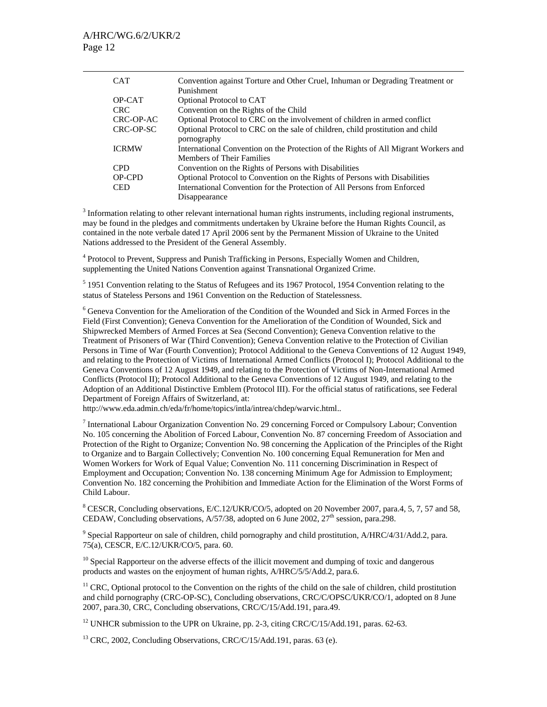| <b>CAT</b>   | Convention against Torture and Other Cruel, Inhuman or Degrading Treatment or<br>Punishment                      |
|--------------|------------------------------------------------------------------------------------------------------------------|
| OP-CAT       | Optional Protocol to CAT                                                                                         |
| CRC.         | Convention on the Rights of the Child                                                                            |
| CRC-OP-AC    | Optional Protocol to CRC on the involvement of children in armed conflict                                        |
| CRC-OP-SC    | Optional Protocol to CRC on the sale of children, child prostitution and child<br>pornography                    |
| <b>ICRMW</b> | International Convention on the Protection of the Rights of All Migrant Workers and<br>Members of Their Families |
| <b>CPD</b>   | Convention on the Rights of Persons with Disabilities                                                            |
| OP-CPD       | Optional Protocol to Convention on the Rights of Persons with Disabilities                                       |
| <b>CED</b>   | International Convention for the Protection of All Persons from Enforced                                         |
|              | Disappearance                                                                                                    |

 $3$  Information relating to other relevant international human rights instruments, including regional instruments, may be found in the pledges and commitments undertaken by Ukraine before the Human Rights Council, as contained in the note verbale dated 17 April 2006 sent by the Permanent Mission of Ukraine to the United Nations addressed to the President of the General Assembly.

<sup>4</sup> Protocol to Prevent, Suppress and Punish Trafficking in Persons, Especially Women and Children, supplementing the United Nations Convention against Transnational Organized Crime.

<sup>5</sup> 1951 Convention relating to the Status of Refugees and its 1967 Protocol, 1954 Convention relating to the status of Stateless Persons and 1961 Convention on the Reduction of Statelessness.

<sup>6</sup> Geneva Convention for the Amelioration of the Condition of the Wounded and Sick in Armed Forces in the Field (First Convention); Geneva Convention for the Amelioration of the Condition of Wounded, Sick and Shipwrecked Members of Armed Forces at Sea (Second Convention); Geneva Convention relative to the Treatment of Prisoners of War (Third Convention); Geneva Convention relative to the Protection of Civilian Persons in Time of War (Fourth Convention); Protocol Additional to the Geneva Conventions of 12 August 1949, and relating to the Protection of Victims of International Armed Conflicts (Protocol I); Protocol Additional to the Geneva Conventions of 12 August 1949, and relating to the Protection of Victims of Non-International Armed Conflicts (Protocol II); Protocol Additional to the Geneva Conventions of 12 August 1949, and relating to the Adoption of an Additional Distinctive Emblem (Protocol III). For the official status of ratifications, see Federal Department of Foreign Affairs of Switzerland, at:

http://www.eda.admin.ch/eda/fr/home/topics/intla/intrea/chdep/warvic.html..

<sup>7</sup> International Labour Organization Convention No. 29 concerning Forced or Compulsory Labour; Convention No. 105 concerning the Abolition of Forced Labour, Convention No. 87 concerning Freedom of Association and Protection of the Right to Organize; Convention No. 98 concerning the Application of the Principles of the Right to Organize and to Bargain Collectively; Convention No. 100 concerning Equal Remuneration for Men and Women Workers for Work of Equal Value; Convention No. 111 concerning Discrimination in Respect of Employment and Occupation; Convention No. 138 concerning Minimum Age for Admission to Employment; Convention No. 182 concerning the Prohibition and Immediate Action for the Elimination of the Worst Forms of Child Labour.

<sup>8</sup> CESCR, Concluding observations, E/C.12/UKR/CO/5, adopted on 20 November 2007, para.4, 5, 7, 57 and 58, CEDAW, Concluding observations,  $A/57/38$ , adopted on 6 June 2002,  $27<sup>th</sup>$  session, para.298.

<sup>9</sup> Special Rapporteur on sale of children, child pornography and child prostitution, A/HRC/4/31/Add.2, para. 75(a), CESCR, E/C.12/UKR/CO/5, para. 60.

 $10$  Special Rapporteur on the adverse effects of the illicit movement and dumping of toxic and dangerous products and wastes on the enjoyment of human rights, A/HRC/5/5/Add.2, para.6.

<sup>11</sup> CRC, Optional protocol to the Convention on the rights of the child on the sale of children, child prostitution and child pornography (CRC-OP-SC), Concluding observations, CRC/C/OPSC/UKR/CO/1, adopted on 8 June 2007, para.30, CRC, Concluding observations, CRC/C/15/Add.191, para.49.

<sup>12</sup> UNHCR submission to the UPR on Ukraine, pp. 2-3, citing CRC/C/15/Add.191, paras. 62-63.

 $13$  CRC, 2002, Concluding Observations, CRC/C/15/Add.191, paras. 63 (e).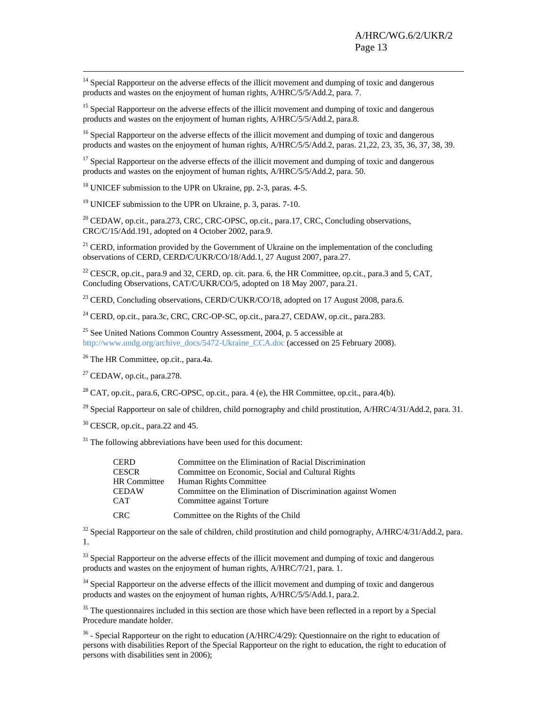<sup>14</sup> Special Rapporteur on the adverse effects of the illicit movement and dumping of toxic and dangerous products and wastes on the enjoyment of human rights, A/HRC/5/5/Add.2, para. 7.

<sup>15</sup> Special Rapporteur on the adverse effects of the illicit movement and dumping of toxic and dangerous products and wastes on the enjoyment of human rights, A/HRC/5/5/Add.2, para.8.

<sup>16</sup> Special Rapporteur on the adverse effects of the illicit movement and dumping of toxic and dangerous products and wastes on the enjoyment of human rights, A/HRC/5/5/Add.2, paras. 21,22, 23, 35, 36, 37, 38, 39.

 $17$  Special Rapporteur on the adverse effects of the illicit movement and dumping of toxic and dangerous products and wastes on the enjoyment of human rights, A/HRC/5/5/Add.2, para. 50.

<sup>18</sup> UNICEF submission to the UPR on Ukraine, pp. 2-3, paras. 4-5.

<sup>19</sup> UNICEF submission to the UPR on Ukraine, p. 3, paras. 7-10.

<sup>20</sup> CEDAW, op.cit., para.273, CRC, CRC-OPSC, op.cit., para.17, CRC, Concluding observations, CRC/C/15/Add.191, adopted on 4 October 2002, para.9.

 $21$  CERD, information provided by the Government of Ukraine on the implementation of the concluding observations of CERD, CERD/C/UKR/CO/18/Add.1, 27 August 2007, para.27.

<sup>22</sup> CESCR, op.cit., para.9 and 32, CERD, op. cit. para. 6, the HR Committee, op.cit., para.3 and 5, CAT, Concluding Observations, CAT/C/UKR/CO/5, adopted on 18 May 2007, para.21.

<sup>23</sup> CERD, Concluding observations, CERD/C/UKR/CO/18, adopted on 17 August 2008, para.6.

<sup>24</sup> CERD, op.cit., para.3c, CRC, CRC-OP-SC, op.cit., para.27, CEDAW, op.cit., para.283.

<sup>25</sup> See United Nations Common Country Assessment, 2004, p. 5 accessible at http://www.undg.org/archive\_docs/5472-Ukraine\_CCA.doc (accessed on 25 February 2008).

26 The HR Committee, op.cit., para.4a.

 $27$  CEDAW, op.cit., para.278.

 $^{28}$  CAT, op.cit., para.6, CRC-OPSC, op.cit., para. 4 (e), the HR Committee, op.cit., para.4(b).

<sup>29</sup> Special Rapporteur on sale of children, child pornography and child prostitution, A/HRC/4/31/Add.2, para. 31.

<sup>30</sup> CESCR, op.cit., para.22 and 45.

 $31$  The following abbreviations have been used for this document:

| <b>CERD</b>  | Committee on the Elimination of Racial Discrimination        |
|--------------|--------------------------------------------------------------|
| <b>CESCR</b> | Committee on Economic, Social and Cultural Rights            |
| HR Committee | Human Rights Committee                                       |
| <b>CEDAW</b> | Committee on the Elimination of Discrimination against Women |
| <b>CAT</b>   | Committee against Torture                                    |
| CRC.         | Committee on the Rights of the Child                         |

<sup>32</sup> Special Rapporteur on the sale of children, child prostitution and child pornography, A/HRC/4/31/Add.2, para. 1.

<sup>33</sup> Special Rapporteur on the adverse effects of the illicit movement and dumping of toxic and dangerous products and wastes on the enjoyment of human rights, A/HRC/7/21, para. 1.

<sup>34</sup> Special Rapporteur on the adverse effects of the illicit movement and dumping of toxic and dangerous products and wastes on the enjoyment of human rights, A/HRC/5/5/Add.1, para.2.

 $35$  The questionnaires included in this section are those which have been reflected in a report by a Special Procedure mandate holder.

 $36$  - Special Rapporteur on the right to education (A/HRC/4/29): Questionnaire on the right to education of persons with disabilities Report of the Special Rapporteur on the right to education, the right to education of persons with disabilities sent in 2006);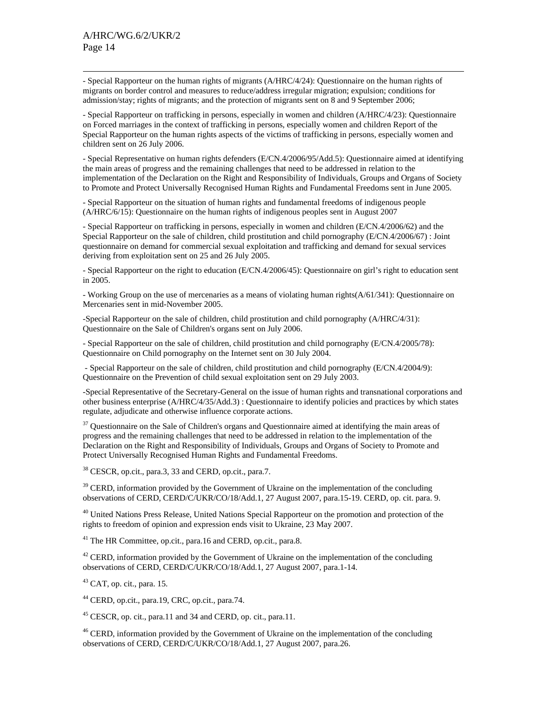- Special Rapporteur on the human rights of migrants (A/HRC/4/24): Questionnaire on the human rights of migrants on border control and measures to reduce/address irregular migration; expulsion; conditions for admission/stay; rights of migrants; and the protection of migrants sent on 8 and 9 September 2006;

- Special Rapporteur on trafficking in persons, especially in women and children (A/HRC/4/23): Questionnaire on Forced marriages in the context of trafficking in persons, especially women and children Report of the Special Rapporteur on the human rights aspects of the victims of trafficking in persons, especially women and children sent on 26 July 2006.

- Special Representative on human rights defenders (E/CN.4/2006/95/Add.5): Questionnaire aimed at identifying the main areas of progress and the remaining challenges that need to be addressed in relation to the implementation of the Declaration on the Right and Responsibility of Individuals, Groups and Organs of Society to Promote and Protect Universally Recognised Human Rights and Fundamental Freedoms sent in June 2005.

- Special Rapporteur on the situation of human rights and fundamental freedoms of indigenous people (A/HRC/6/15): Questionnaire on the human rights of indigenous peoples sent in August 2007

- Special Rapporteur on trafficking in persons, especially in women and children (E/CN.4/2006/62) and the Special Rapporteur on the sale of children, child prostitution and child pornography (E/CN.4/2006/67) : Joint questionnaire on demand for commercial sexual exploitation and trafficking and demand for sexual services deriving from exploitation sent on 25 and 26 July 2005.

- Special Rapporteur on the right to education (E/CN.4/2006/45): Questionnaire on girl's right to education sent in 2005.

- Working Group on the use of mercenaries as a means of violating human rights(A/61/341): Questionnaire on Mercenaries sent in mid-November 2005.

-Special Rapporteur on the sale of children, child prostitution and child pornography (A/HRC/4/31): Questionnaire on the Sale of Children's organs sent on July 2006.

- Special Rapporteur on the sale of children, child prostitution and child pornography (E/CN.4/2005/78): Questionnaire on Child pornography on the Internet sent on 30 July 2004.

 - Special Rapporteur on the sale of children, child prostitution and child pornography (E/CN.4/2004/9): Questionnaire on the Prevention of child sexual exploitation sent on 29 July 2003.

-Special Representative of the Secretary-General on the issue of human rights and transnational corporations and other business enterprise (A/HRC/4/35/Add.3) : Questionnaire to identify policies and practices by which states regulate, adjudicate and otherwise influence corporate actions.

<sup>37</sup> Questionnaire on the Sale of Children's organs and Questionnaire aimed at identifying the main areas of progress and the remaining challenges that need to be addressed in relation to the implementation of the Declaration on the Right and Responsibility of Individuals, Groups and Organs of Society to Promote and Protect Universally Recognised Human Rights and Fundamental Freedoms.

38 CESCR, op.cit., para.3, 33 and CERD, op.cit., para.7.

<sup>39</sup> CERD, information provided by the Government of Ukraine on the implementation of the concluding observations of CERD, CERD/C/UKR/CO/18/Add.1, 27 August 2007, para.15-19. CERD, op. cit. para. 9.

<sup>40</sup> United Nations Press Release, United Nations Special Rapporteur on the promotion and protection of the rights to freedom of opinion and expression ends visit to Ukraine, 23 May 2007.

<sup>41</sup> The HR Committee, op.cit., para.16 and CERD, op.cit., para.8.

 $42$  CERD, information provided by the Government of Ukraine on the implementation of the concluding observations of CERD, CERD/C/UKR/CO/18/Add.1, 27 August 2007, para.1-14.

 $43$  CAT, op. cit., para. 15.

44 CERD, op.cit., para.19, CRC, op.cit., para.74.

45 CESCR, op. cit., para.11 and 34 and CERD, op. cit., para.11.

<sup>46</sup> CERD, information provided by the Government of Ukraine on the implementation of the concluding observations of CERD, CERD/C/UKR/CO/18/Add.1, 27 August 2007, para.26.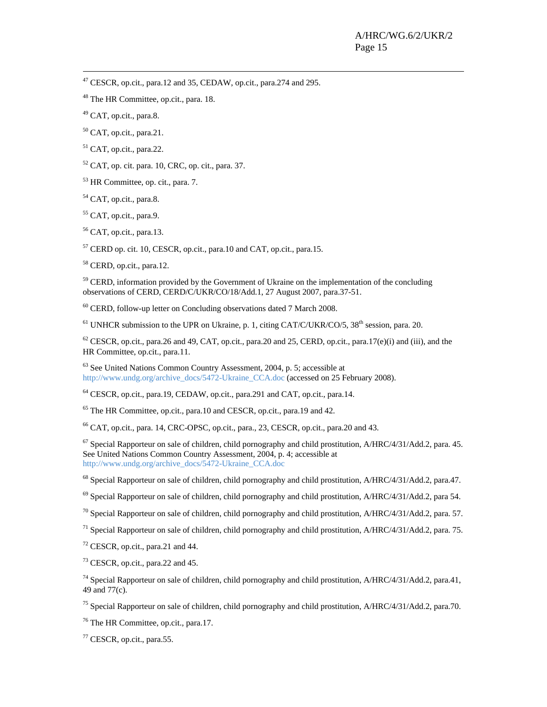47 CESCR, op.cit., para.12 and 35, CEDAW, op.cit., para.274 and 295.

48 The HR Committee, op.cit., para. 18.

 $^{49}$  CAT, op.cit., para.8.

 $50$  CAT, op.cit., para.21.

 $51$  CAT, op.cit., para.22.

 $52$  CAT, op. cit. para. 10, CRC, op. cit., para. 37.

53 HR Committee, op. cit., para. 7.

<sup>54</sup> CAT, op.cit., para.8.

<sup>55</sup> CAT, op.cit., para.9.

 $56$  CAT, op.cit., para.13.

57 CERD op. cit. 10, CESCR, op.cit., para.10 and CAT, op.cit., para.15.

58 CERD, op.cit., para.12.

<sup>59</sup> CERD, information provided by the Government of Ukraine on the implementation of the concluding observations of CERD, CERD/C/UKR/CO/18/Add.1, 27 August 2007, para.37-51.

<sup>60</sup> CERD, follow-up letter on Concluding observations dated 7 March 2008.

 $<sup>61</sup>$  UNHCR submission to the UPR on Ukraine, p. 1, citing CAT/C/UKR/CO/5, 38<sup>th</sup> session, para. 20.</sup>

 $62$  CESCR, op.cit., para.26 and 49, CAT, op.cit., para.20 and 25, CERD, op.cit., para.17(e)(i) and (iii), and the HR Committee, op.cit., para.11.

63 See United Nations Common Country Assessment, 2004, p. 5; accessible at http://www.undg.org/archive\_docs/5472-Ukraine\_CCA.doc (accessed on 25 February 2008).

64 CESCR, op.cit., para.19, CEDAW, op.cit., para.291 and CAT, op.cit., para.14.

65 The HR Committee, op.cit., para.10 and CESCR, op.cit., para.19 and 42.

 $^{66}$  CAT, op.cit., para. 14, CRC-OPSC, op.cit., para., 23, CESCR, op.cit., para. 20 and 43.

67 Special Rapporteur on sale of children, child pornography and child prostitution, A/HRC/4/31/Add.2, para. 45. See United Nations Common Country Assessment, 2004, p. 4; accessible at http://www.undg.org/archive\_docs/5472-Ukraine\_CCA.doc

<sup>68</sup> Special Rapporteur on sale of children, child pornography and child prostitution, A/HRC/4/31/Add.2, para.47.

<sup>69</sup> Special Rapporteur on sale of children, child pornography and child prostitution, A/HRC/4/31/Add.2, para 54.

 $^{70}$  Special Rapporteur on sale of children, child pornography and child prostitution, A/HRC/4/31/Add.2, para. 57.

<sup>71</sup> Special Rapporteur on sale of children, child pornography and child prostitution,  $A/HRC/4/31/Add.2$ , para. 75.

72 CESCR, op.cit., para.21 and 44.

73 CESCR, op.cit., para.22 and 45.

 $^{74}$  Special Rapporteur on sale of children, child pornography and child prostitution, A/HRC/4/31/Add.2, para.41, 49 and 77(c).

<sup>75</sup> Special Rapporteur on sale of children, child pornography and child prostitution, A/HRC/4/31/Add.2, para.70.

76 The HR Committee, op.cit., para.17.

77 CESCR, op.cit., para.55.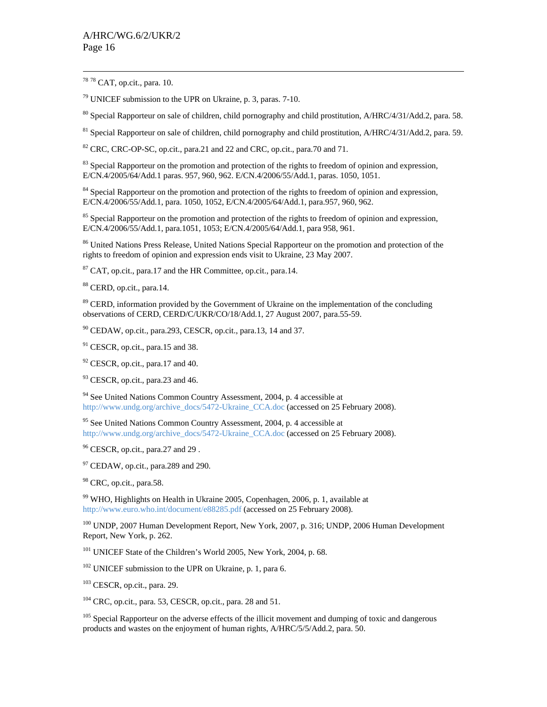78 78 CAT, op.cit., para. 10.

79 UNICEF submission to the UPR on Ukraine, p. 3, paras. 7-10.

<sup>80</sup> Special Rapporteur on sale of children, child pornography and child prostitution, A/HRC/4/31/Add.2, para. 58.

<sup>81</sup> Special Rapporteur on sale of children, child pornography and child prostitution, A/HRC/4/31/Add.2, para. 59.

 $82$  CRC, CRC-OP-SC, op.cit., para.21 and 22 and CRC, op.cit., para.70 and 71.

<sup>83</sup> Special Rapporteur on the promotion and protection of the rights to freedom of opinion and expression, E/CN.4/2005/64/Add.1 paras. 957, 960, 962. E/CN.4/2006/55/Add.1, paras. 1050, 1051.

<sup>84</sup> Special Rapporteur on the promotion and protection of the rights to freedom of opinion and expression, E/CN.4/2006/55/Add.1, para. 1050, 1052, E/CN.4/2005/64/Add.1, para.957, 960, 962.

<sup>85</sup> Special Rapporteur on the promotion and protection of the rights to freedom of opinion and expression, E/CN.4/2006/55/Add.1, para.1051, 1053; E/CN.4/2005/64/Add.1, para 958, 961.

<sup>86</sup> United Nations Press Release, United Nations Special Rapporteur on the promotion and protection of the rights to freedom of opinion and expression ends visit to Ukraine, 23 May 2007.

 $87$  CAT, op.cit., para.17 and the HR Committee, op.cit., para.14.

88 CERD, op.cit., para.14.

<sup>89</sup> CERD, information provided by the Government of Ukraine on the implementation of the concluding observations of CERD, CERD/C/UKR/CO/18/Add.1, 27 August 2007, para.55-59.

 $90$  CEDAW, op.cit., para.293, CESCR, op.cit., para.13, 14 and 37.

<sup>91</sup> CESCR, op.cit., para.15 and 38.

<sup>92</sup> CESCR, op.cit., para.17 and 40.

<sup>93</sup> CESCR, op.cit., para.23 and 46.

<sup>94</sup> See United Nations Common Country Assessment, 2004, p. 4 accessible at http://www.undg.org/archive\_docs/5472-Ukraine\_CCA.doc (accessed on 25 February 2008).

<sup>95</sup> See United Nations Common Country Assessment, 2004, p. 4 accessible at http://www.undg.org/archive\_docs/5472-Ukraine\_CCA.doc (accessed on 25 February 2008).

<sup>96</sup> CESCR, op.cit., para.27 and 29.

 $97$  CEDAW, op.cit., para.289 and 290.

<sup>98</sup> CRC, op.cit., para.58.

99 WHO, Highlights on Health in Ukraine 2005, Copenhagen, 2006, p. 1, available at http://www.euro.who.int/document/e88285.pdf (accessed on 25 February 2008).

<sup>100</sup> UNDP, 2007 Human Development Report, New York, 2007, p. 316; UNDP, 2006 Human Development Report, New York, p. 262.

101 UNICEF State of the Children's World 2005, New York, 2004, p. 68.

<sup>102</sup> UNICEF submission to the UPR on Ukraine, p. 1, para 6.

 $103$  CESCR, op.cit., para. 29.

 $104$  CRC, op.cit., para. 53, CESCR, op.cit., para. 28 and 51.

<sup>105</sup> Special Rapporteur on the adverse effects of the illicit movement and dumping of toxic and dangerous products and wastes on the enjoyment of human rights, A/HRC/5/5/Add.2, para. 50.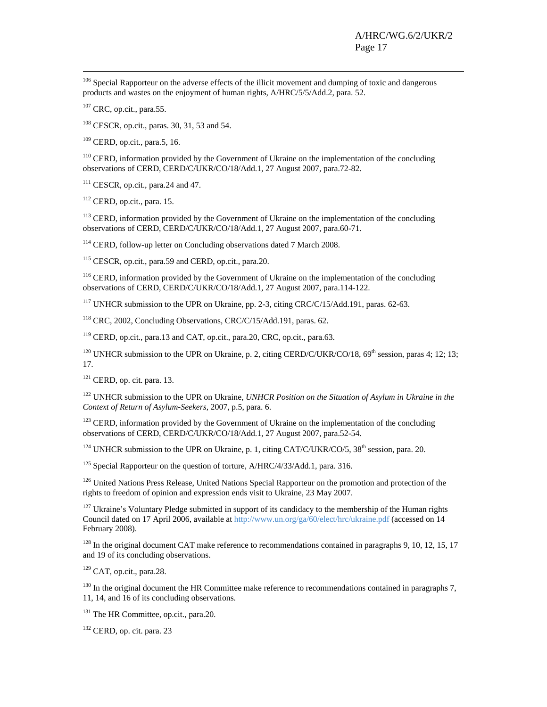<sup>106</sup> Special Rapporteur on the adverse effects of the illicit movement and dumping of toxic and dangerous products and wastes on the enjoyment of human rights, A/HRC/5/5/Add.2, para. 52.

 $107$  CRC, op.cit., para.55.

108 CESCR, op.cit., paras. 30, 31, 53 and 54.

109 CERD, op.cit., para.5, 16.

<sup>110</sup> CERD, information provided by the Government of Ukraine on the implementation of the concluding observations of CERD, CERD/C/UKR/CO/18/Add.1, 27 August 2007, para.72-82.

<sup>111</sup> CESCR, op.cit., para.24 and 47.

112 CERD, op.cit., para. 15.

<sup>113</sup> CERD, information provided by the Government of Ukraine on the implementation of the concluding observations of CERD, CERD/C/UKR/CO/18/Add.1, 27 August 2007, para.60-71.

<sup>114</sup> CERD, follow-up letter on Concluding observations dated 7 March 2008.

115 CESCR, op.cit., para.59 and CERD, op.cit., para.20.

<sup>116</sup> CERD, information provided by the Government of Ukraine on the implementation of the concluding observations of CERD, CERD/C/UKR/CO/18/Add.1, 27 August 2007, para.114-122.

<sup>117</sup> UNHCR submission to the UPR on Ukraine, pp. 2-3, citing CRC/C/15/Add.191, paras. 62-63.

118 CRC, 2002, Concluding Observations, CRC/C/15/Add.191, paras. 62.

119 CERD, op.cit., para.13 and CAT, op.cit., para.20, CRC, op.cit., para.63.

<sup>120</sup> UNHCR submission to the UPR on Ukraine, p. 2, citing CERD/C/UKR/CO/18,  $69<sup>th</sup>$  session, paras 4; 12; 13; 17.

 $121$  CERD, op. cit. para. 13.

<sup>122</sup> UNHCR submission to the UPR on Ukraine, *UNHCR Position on the Situation of Asylum in Ukraine in the Context of Return of Asylum-Seekers,* 2007, p.5, para. 6.

 $123$  CERD, information provided by the Government of Ukraine on the implementation of the concluding observations of CERD, CERD/C/UKR/CO/18/Add.1, 27 August 2007, para.52-54.

<sup>124</sup> UNHCR submission to the UPR on Ukraine, p. 1, citing CAT/C/UKR/CO/5, 38<sup>th</sup> session, para. 20.

<sup>125</sup> Special Rapporteur on the question of torture,  $A/HRC/4/33/Add.1$ , para. 316.

<sup>126</sup> United Nations Press Release, United Nations Special Rapporteur on the promotion and protection of the rights to freedom of opinion and expression ends visit to Ukraine, 23 May 2007.

<sup>127</sup> Ukraine's Voluntary Pledge submitted in support of its candidacy to the membership of the Human rights Council dated on 17 April 2006, available at http://www.un.org/ga/60/elect/hrc/ukraine.pdf (accessed on 14 February 2008).

 $128$  In the original document CAT make reference to recommendations contained in paragraphs 9, 10, 12, 15, 17 and 19 of its concluding observations.

 $129$  CAT, op.cit., para.28.

<sup>130</sup> In the original document the HR Committee make reference to recommendations contained in paragraphs 7. 11, 14, and 16 of its concluding observations.

<sup>131</sup> The HR Committee, op.cit., para.20.

132 CERD, op. cit. para. 23